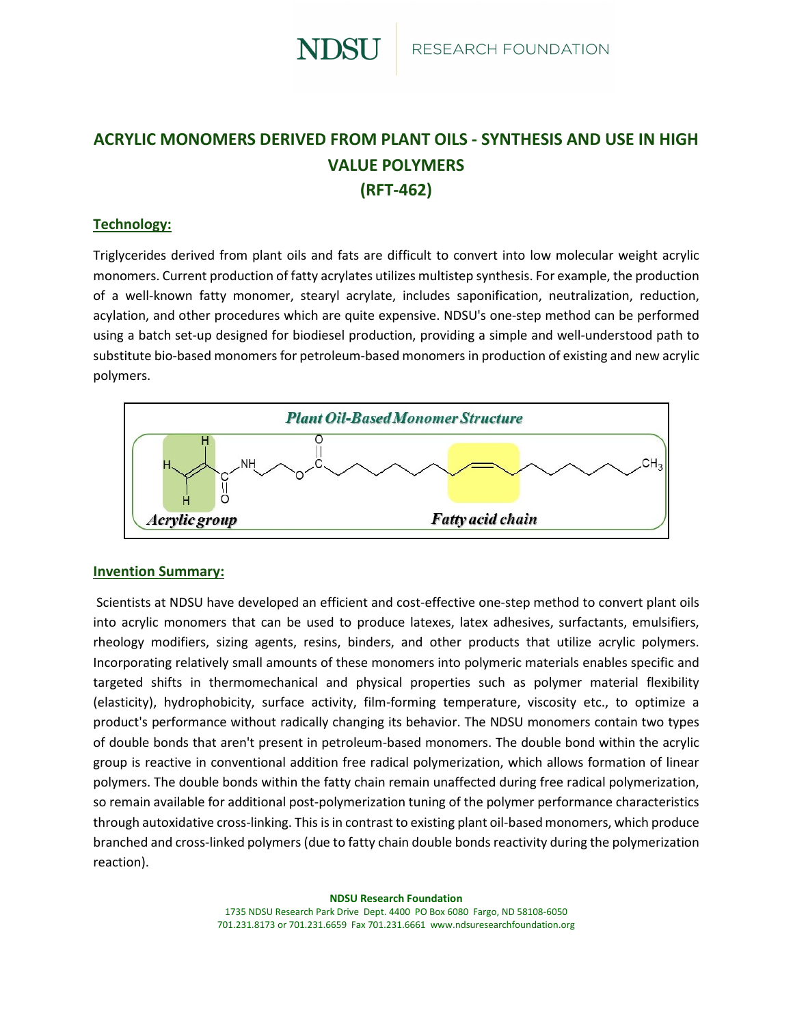

# **ACRYLIC MONOMERS DERIVED FROM PLANT OILS - SYNTHESIS AND USE IN HIGH VALUE POLYMERS (RFT-462)**

## **Technology:**

Triglycerides derived from plant oils and fats are difficult to convert into low molecular weight acrylic monomers. Current production of fatty acrylates utilizes multistep synthesis. For example, the production of a well-known fatty monomer, stearyl acrylate, includes saponification, neutralization, reduction, acylation, and other procedures which are quite expensive. NDSU's one-step method can be performed using a batch set-up designed for biodiesel production, providing a simple and well-understood path to substitute bio-based monomers for petroleum-based monomers in production of existing and new acrylic polymers.



#### **Invention Summary:**

Scientists at NDSU have developed an efficient and cost-effective one-step method to convert plant oils into acrylic monomers that can be used to produce latexes, latex adhesives, surfactants, emulsifiers, rheology modifiers, sizing agents, resins, binders, and other products that utilize acrylic polymers. Incorporating relatively small amounts of these monomers into polymeric materials enables specific and targeted shifts in thermomechanical and physical properties such as polymer material flexibility (elasticity), hydrophobicity, surface activity, film-forming temperature, viscosity etc., to optimize a product's performance without radically changing its behavior. The NDSU monomers contain two types of double bonds that aren't present in petroleum-based monomers. The double bond within the acrylic group is reactive in conventional addition free radical polymerization, which allows formation of linear polymers. The double bonds within the fatty chain remain unaffected during free radical polymerization, so remain available for additional post-polymerization tuning of the polymer performance characteristics through autoxidative cross-linking. This is in contrast to existing plant oil-based monomers, which produce branched and cross-linked polymers (due to fatty chain double bonds reactivity during the polymerization reaction).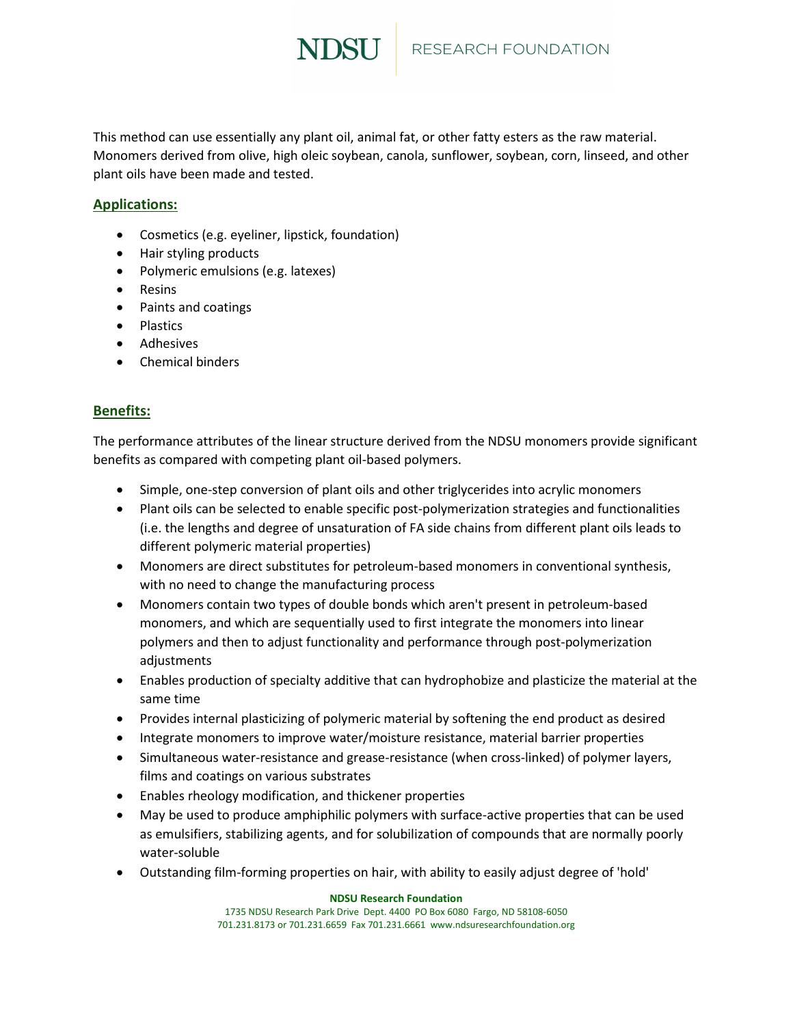

This method can use essentially any plant oil, animal fat, or other fatty esters as the raw material. Monomers derived from olive, high oleic soybean, canola, sunflower, soybean, corn, linseed, and other plant oils have been made and tested.

## **Applications:**

- Cosmetics (e.g. eyeliner, lipstick, foundation)
- Hair styling products
- Polymeric emulsions (e.g. latexes)
- Resins
- Paints and coatings
- Plastics
- Adhesives
- Chemical binders

### **Benefits:**

The performance attributes of the linear structure derived from the NDSU monomers provide significant benefits as compared with competing plant oil-based polymers.

- Simple, one-step conversion of plant oils and other triglycerides into acrylic monomers
- Plant oils can be selected to enable specific post-polymerization strategies and functionalities (i.e. the lengths and degree of unsaturation of FA side chains from different plant oils leads to different polymeric material properties)
- Monomers are direct substitutes for petroleum-based monomers in conventional synthesis, with no need to change the manufacturing process
- Monomers contain two types of double bonds which aren't present in petroleum-based monomers, and which are sequentially used to first integrate the monomers into linear polymers and then to adjust functionality and performance through post-polymerization adjustments
- Enables production of specialty additive that can hydrophobize and plasticize the material at the same time
- Provides internal plasticizing of polymeric material by softening the end product as desired
- Integrate monomers to improve water/moisture resistance, material barrier properties
- Simultaneous water-resistance and grease-resistance (when cross-linked) of polymer layers, films and coatings on various substrates
- Enables rheology modification, and thickener properties
- May be used to produce amphiphilic polymers with surface-active properties that can be used as emulsifiers, stabilizing agents, and for solubilization of compounds that are normally poorly water-soluble
- Outstanding film-forming properties on hair, with ability to easily adjust degree of 'hold'

**NDSU Research Foundation** 1735 NDSU Research Park Drive Dept. 4400 PO Box 6080 Fargo, ND 58108-6050 701.231.8173 or 701.231.6659 Fax 701.231.6661 www.ndsuresearchfoundation.org